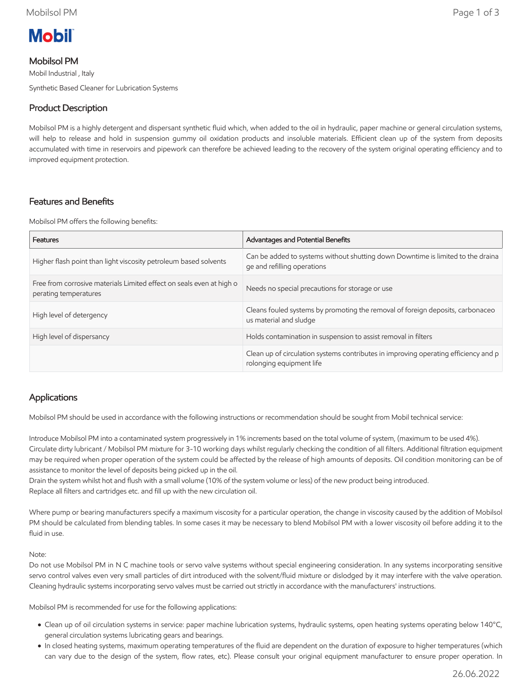

# Mobilsol PM

Mobil Industrial , Italy Synthetic Based Cleaner for Lubrication Systems

# Product Description

Mobilsol PM is a highly detergent and dispersant synthetic fluid which, when added to the oil in hydraulic, paper machine or general circulation systems, will help to release and hold in suspension gummy oil oxidation products and insoluble materials. Efficient clean up of the system from deposits accumulated with time in reservoirs and pipework can therefore be achieved leading to the recovery of the system original operating efficiency and to improved equipment protection.

## Features and Benefits

Mobilsol PM offers the following benefits:

| Features                                                                                      | Advantages and Potential Benefits                                                                               |
|-----------------------------------------------------------------------------------------------|-----------------------------------------------------------------------------------------------------------------|
| Higher flash point than light viscosity petroleum based solvents                              | Can be added to systems without shutting down Downtime is limited to the draina<br>ge and refilling operations  |
| Free from corrosive materials Limited effect on seals even at high o<br>perating temperatures | Needs no special precautions for storage or use                                                                 |
| High level of detergency                                                                      | Cleans fouled systems by promoting the removal of foreign deposits, carbonaceo<br>us material and sludge        |
| High level of dispersancy                                                                     | Holds contamination in suspension to assist removal in filters                                                  |
|                                                                                               | Clean up of circulation systems contributes in improving operating efficiency and p<br>rolonging equipment life |

## Applications

Mobilsol PM should be used in accordance with the following instructions or recommendation should be sought from Mobil technical service:

Introduce Mobilsol PM into a contaminated system progressively in 1% increments based on the total volume of system, (maximum to be used 4%). Circulate dirty lubricant / Mobilsol PM mixture for 3-10 working days whilst regularly checking the condition of all filters. Additional filtration equipment may be required when proper operation of the system could be affected by the release of high amounts of deposits. Oil condition monitoring can be of assistance to monitor the level of deposits being picked up in the oil.

Drain the system whilst hot and flush with a small volume (10% of the system volume or less) of the new product being introduced. Replace all filters and cartridges etc. and fill up with the new circulation oil.

Where pump or bearing manufacturers specify a maximum viscosity for a particular operation, the change in viscosity caused by the addition of Mobilsol PM should be calculated from blending tables. In some cases it may be necessary to blend Mobilsol PM with a lower viscosity oil before adding it to the fluid in use.

#### Note:

Do not use Mobilsol PM in N C machine tools or servo valve systems without special engineering consideration. In any systems incorporating sensitive servo control valves even very small particles of dirt introduced with the solvent/fluid mixture or dislodged by it may interfere with the valve operation. Cleaning hydraulic systems incorporating servo valves must be carried out strictly in accordance with the manufacturers' instructions.

Mobilsol PM is recommended for use for the following applications:

- Clean up of oil circulation systems in service: paper machine lubrication systems, hydraulic systems, open heating systems operating below 140°C, general circulation systems lubricating gears and bearings.
- In closed heating systems, maximum operating temperatures of the fluid are dependent on the duration of exposure to higher temperatures (which can vary due to the design of the system, flow rates, etc). Please consult your original equipment manufacturer to ensure proper operation. In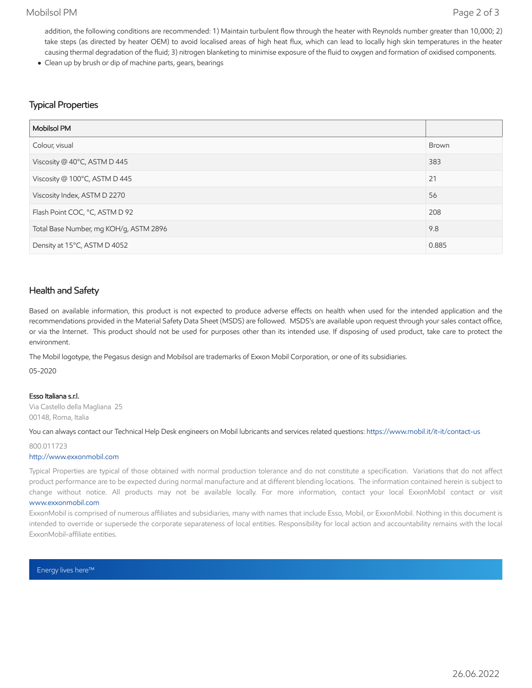### Mobilsol PM Page 2 of 3

addition, the following conditions are recommended: 1) Maintain turbulent flow through the heater with Reynolds number greater than 10,000; 2) take steps (as directed by heater OEM) to avoid localised areas of high heat flux, which can lead to locally high skin temperatures in the heater causing thermal degradation of the fluid; 3) nitrogen blanketing to minimise exposure of the fluid to oxygen and formation of oxidised components.

Clean up by brush or dip of machine parts, gears, bearings

### Typical Properties

| <b>Mobilsol PM</b>                     |       |
|----------------------------------------|-------|
| Colour, visual                         | Brown |
| Viscosity @ 40°C, ASTM D 445           | 383   |
| Viscosity @ 100°C, ASTM D 445          | 21    |
| Viscosity Index, ASTM D 2270           | 56    |
| Flash Point COC, °C, ASTM D 92         | 208   |
| Total Base Number, mg KOH/g, ASTM 2896 | 9.8   |
| Density at 15°C, ASTM D 4052           | 0.885 |

### Health and Safety

Based on available information, this product is not expected to produce adverse effects on health when used for the intended application and the recommendations provided in the Material Safety Data Sheet (MSDS) are followed. MSDS's are available upon request through your sales contact office, or via the Internet. This product should not be used for purposes other than its intended use. If disposing of used product, take care to protect the environment.

The Mobil logotype, the Pegasus design and Mobilsol are trademarks of Exxon Mobil Corporation, or one of its subsidiaries.

05-2020

#### Esso Italiana s.r.l.

Via Castello della Magliana 25 00148, Roma, Italia

#### You can always contact our Technical Help Desk engineers on Mobil lubricants and services related questions:<https://www.mobil.it/it-it/contact-us>

### 800.011723

#### [http://www.exxonmobil.com](http://www.exxonmobil.com/)

Typical Properties are typical of those obtained with normal production tolerance and do not constitute a specification. Variations that do not affect product performance are to be expected during normal manufacture and at different blending locations. The information contained herein is subject to change without notice. All products may not be available locally. For more information, contact your local ExxonMobil contact or visit

#### [www.exxonmobil.com](http://www.exxonmobil.com/)

ExxonMobil is comprised of numerous affiliates and subsidiaries, many with names that include Esso, Mobil, or ExxonMobil. Nothing in this document is intended to override or supersede the corporate separateness of local entities. Responsibility for local action and accountability remains with the local ExxonMobil-affiliate entities.